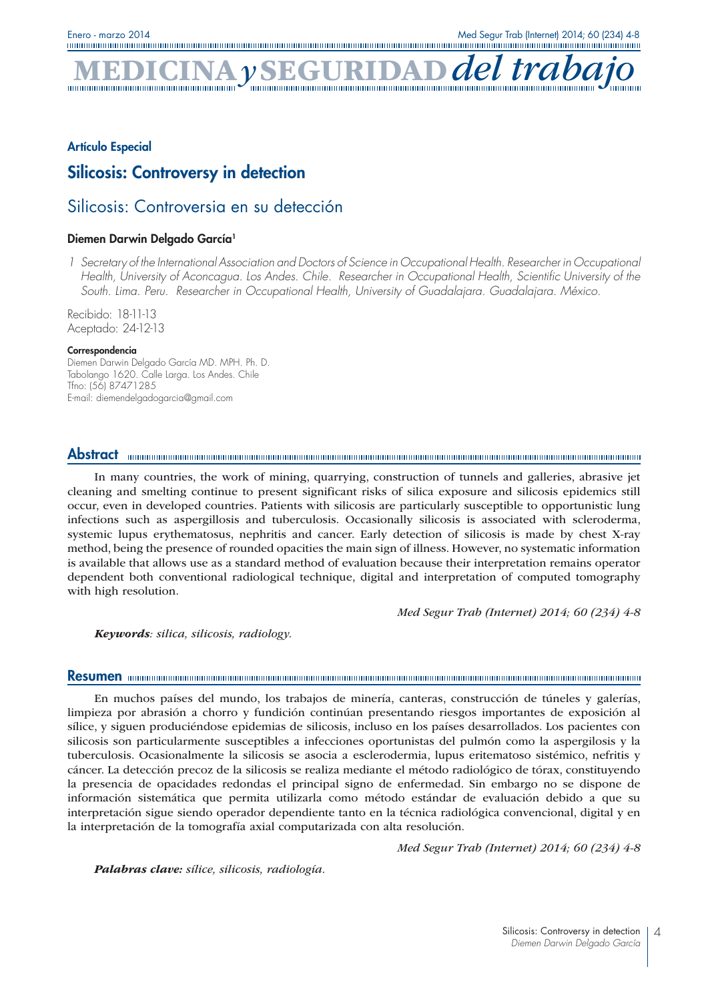# MEDICINA*y*SEGURIDAD*del trabajo*

#### Artículo Especial

# Silicosis: Controversy in detection

# Silicosis: Controversia en su detección

#### Diemen Darwin Delgado García<sup>1</sup>

*1 Secretary of the International Association and Doctors of Science in Occupational Health. Researcher in Occupational Health, University of Aconcagua. Los Andes. Chile. Researcher in Occupational Health, Scientific University of the South. Lima. Peru. Researcher in Occupational Health, University of Guadalajara. Guadalajara. México.*

Recibido: 18-11-13 Aceptado: 24-12-13

#### Correspondencia

Diemen Darwin Delgado García MD. MPH. Ph. D. Tabolango 1620. Calle Larga. Los Andes. Chile Tfno: (56) 87471285 E-mail: diemendelgadogarcia@gmail.com

#### Abstract

In many countries, the work of mining, quarrying, construction of tunnels and galleries, abrasive jet cleaning and smelting continue to present significant risks of silica exposure and silicosis epidemics still occur, even in developed countries. Patients with silicosis are particularly susceptible to opportunistic lung infections such as aspergillosis and tuberculosis. Occasionally silicosis is associated with scleroderma, systemic lupus erythematosus, nephritis and cancer. Early detection of silicosis is made by chest X-ray method, being the presence of rounded opacities the main sign of illness. However, no systematic information is available that allows use as a standard method of evaluation because their interpretation remains operator dependent both conventional radiological technique, digital and interpretation of computed tomography with high resolution.

*Med Segur Trab (Internet) 2014; 60 (234) 4-8*

*Keywords: silica, silicosis, radiology.*

#### Resumen

En muchos países del mundo, los trabajos de minería, canteras, construcción de túneles y galerías, limpieza por abrasión a chorro y fundición continúan presentando riesgos importantes de exposición al sílice, y siguen produciéndose epidemias de silicosis, incluso en los países desarrollados. Los pacientes con silicosis son particularmente susceptibles a infecciones oportunistas del pulmón como la aspergilosis y la tuberculosis. Ocasionalmente la silicosis se asocia a esclerodermia, lupus eritematoso sistémico, nefritis y cáncer. La detección precoz de la silicosis se realiza mediante el método radiológico de tórax, constituyendo la presencia de opacidades redondas el principal signo de enfermedad. Sin embargo no se dispone de información sistemática que permita utilizarla como método estándar de evaluación debido a que su interpretación sigue siendo operador dependiente tanto en la técnica radiológica convencional, digital y en la interpretación de la tomografía axial computarizada con alta resolución.

*Med Segur Trab (Internet) 2014; 60 (234) 4-8*

*Palabras clave: sílice, silicosis, radiología.*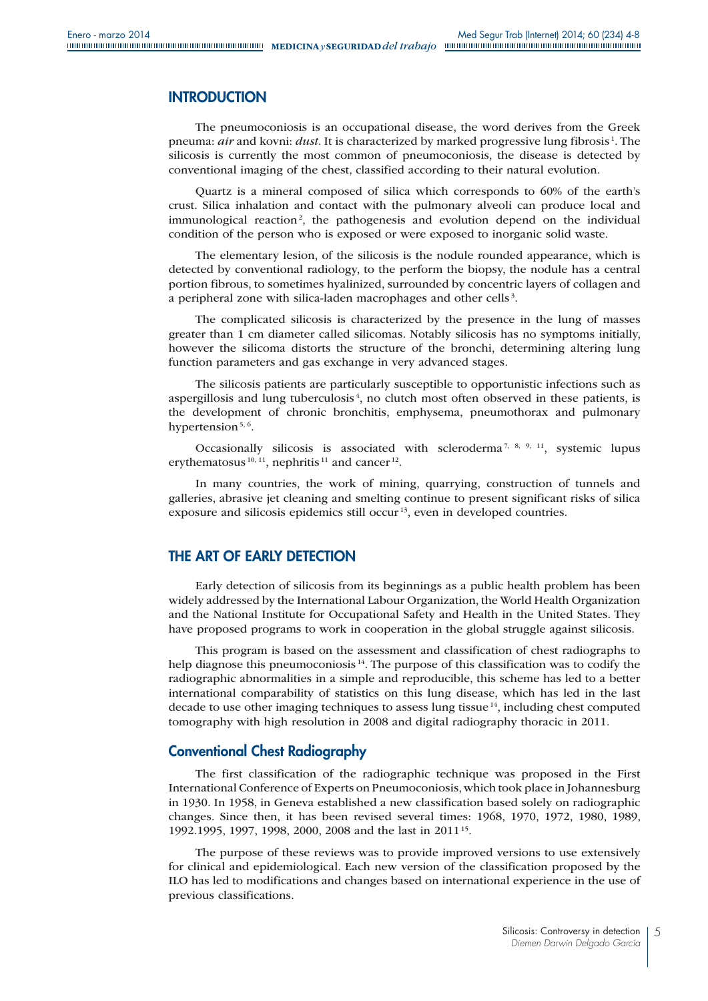#### **INTRODUCTION**

The pneumoconiosis is an occupational disease, the word derives from the Greek pneuma: *air* and kovni: *dust*. It is characterized by marked progressive lung fibrosis<sup>1</sup>. The silicosis is currently the most common of pneumoconiosis, the disease is detected by conventional imaging of the chest, classified according to their natural evolution.

Quartz is a mineral composed of silica which corresponds to 60% of the earth's crust. Silica inhalation and contact with the pulmonary alveoli can produce local and  $immunological reaction<sup>2</sup>$ , the pathogenesis and evolution depend on the individual condition of the person who is exposed or were exposed to inorganic solid waste.

The elementary lesion, of the silicosis is the nodule rounded appearance, which is detected by conventional radiology, to the perform the biopsy, the nodule has a central portion fibrous, to sometimes hyalinized, surrounded by concentric layers of collagen and a peripheral zone with silica-laden macrophages and other cells<sup>3</sup>.

The complicated silicosis is characterized by the presence in the lung of masses greater than 1 cm diameter called silicomas. Notably silicosis has no symptoms initially, however the silicoma distorts the structure of the bronchi, determining altering lung function parameters and gas exchange in very advanced stages.

The silicosis patients are particularly susceptible to opportunistic infections such as aspergillosis and lung tuberculosis<sup>4</sup>, no clutch most often observed in these patients, is the development of chronic bronchitis, emphysema, pneumothorax and pulmonary hypertension<sup>5,  $6$ </sup>.

Occasionally silicosis is associated with scleroderma<sup>7, 8, 9, 11</sup>, systemic lupus erythematosus  $10, 11$ , nephritis  $11$  and cancer  $12$ .

In many countries, the work of mining, quarrying, construction of tunnels and galleries, abrasive jet cleaning and smelting continue to present significant risks of silica exposure and silicosis epidemics still occur<sup>13</sup>, even in developed countries.

#### THE ART OF EARLY DETECTION

Early detection of silicosis from its beginnings as a public health problem has been widely addressed by the International Labour Organization, the World Health Organization and the National Institute for Occupational Safety and Health in the United States. They have proposed programs to work in cooperation in the global struggle against silicosis.

This program is based on the assessment and classification of chest radiographs to help diagnose this pneumoconiosis<sup>14</sup>. The purpose of this classification was to codify the radiographic abnormalities in a simple and reproducible, this scheme has led to a better international comparability of statistics on this lung disease, which has led in the last decade to use other imaging techniques to assess lung tissue<sup>14</sup>, including chest computed tomography with high resolution in 2008 and digital radiography thoracic in 2011.

#### Conventional Chest Radiography

The first classification of the radiographic technique was proposed in the First International Conference of Experts on Pneumoconiosis, which took place in Johannesburg in 1930. In 1958, in Geneva established a new classification based solely on radiographic changes. Since then, it has been revised several times: 1968, 1970, 1972, 1980, 1989, 1992.1995, 1997, 1998, 2000, 2008 and the last in 2011<sup>15</sup>.

The purpose of these reviews was to provide improved versions to use extensively for clinical and epidemiological. Each new version of the classification proposed by the ILO has led to modifications and changes based on international experience in the use of previous classifications.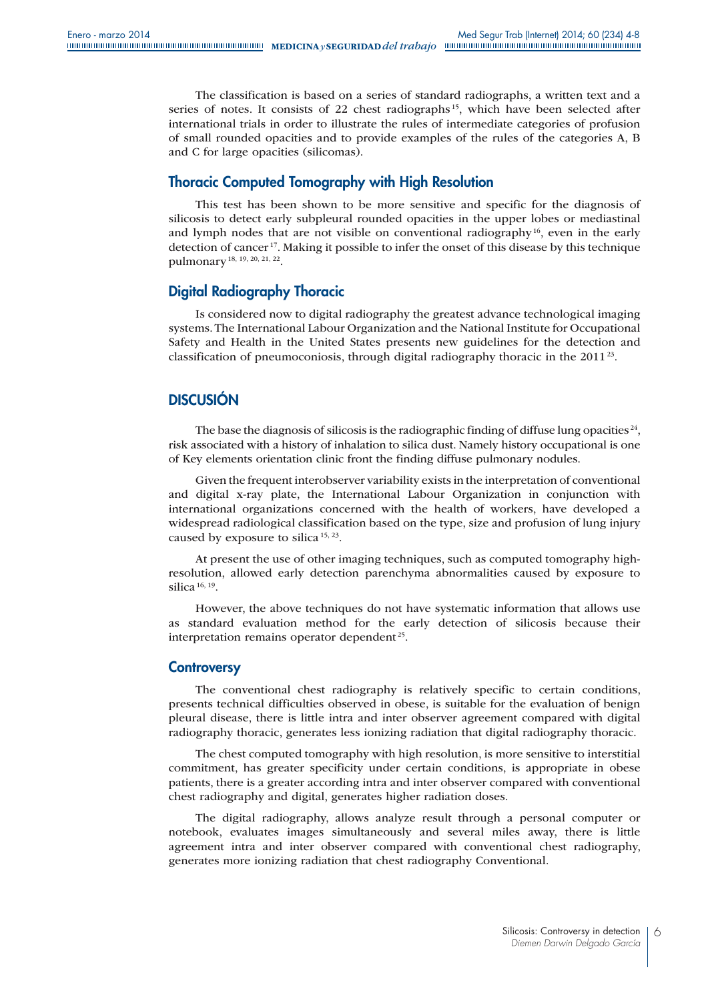The classification is based on a series of standard radiographs, a written text and a series of notes. It consists of 22 chest radiographs<sup>15</sup>, which have been selected after international trials in order to illustrate the rules of intermediate categories of profusion of small rounded opacities and to provide examples of the rules of the categories A, B and C for large opacities (silicomas).

## Thoracic Computed Tomography with High Resolution

This test has been shown to be more sensitive and specific for the diagnosis of silicosis to detect early subpleural rounded opacities in the upper lobes or mediastinal and lymph nodes that are not visible on conventional radiography<sup>16</sup>, even in the early detection of cancer 17. Making it possible to infer the onset of this disease by this technique pulmonary 18, 19, 20, 21, 22.

## Digital Radiography Thoracic

Is considered now to digital radiography the greatest advance technological imaging systems. The International Labour Organization and the National Institute for Occupational Safety and Health in the United States presents new guidelines for the detection and classification of pneumoconiosis, through digital radiography thoracic in the  $2011^{23}$ .

## DISCUSIÓN

The base the diagnosis of silicosis is the radiographic finding of diffuse lung opacities<sup>24</sup>, risk associated with a history of inhalation to silica dust. Namely history occupational is one of Key elements orientation clinic front the finding diffuse pulmonary nodules.

Given the frequent interobserver variability exists in the interpretation of conventional and digital x-ray plate, the International Labour Organization in conjunction with international organizations concerned with the health of workers, have developed a widespread radiological classification based on the type, size and profusion of lung injury caused by exposure to silica 15, 23.

At present the use of other imaging techniques, such as computed tomography highresolution, allowed early detection parenchyma abnormalities caused by exposure to silica  $16, 19$ .

However, the above techniques do not have systematic information that allows use as standard evaluation method for the early detection of silicosis because their interpretation remains operator dependent<sup>25</sup>.

#### **Controversy**

The conventional chest radiography is relatively specific to certain conditions, presents technical difficulties observed in obese, is suitable for the evaluation of benign pleural disease, there is little intra and inter observer agreement compared with digital radiography thoracic, generates less ionizing radiation that digital radiography thoracic.

The chest computed tomography with high resolution, is more sensitive to interstitial commitment, has greater specificity under certain conditions, is appropriate in obese patients, there is a greater according intra and inter observer compared with conventional chest radiography and digital, generates higher radiation doses.

The digital radiography, allows analyze result through a personal computer or notebook, evaluates images simultaneously and several miles away, there is little agreement intra and inter observer compared with conventional chest radiography, generates more ionizing radiation that chest radiography Conventional.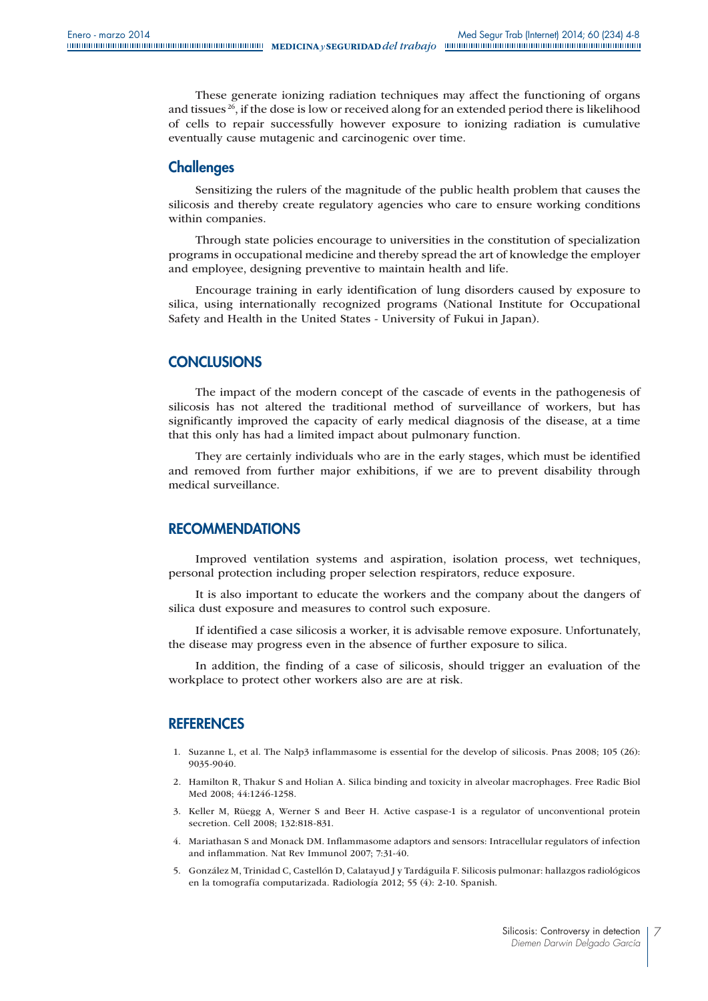These generate ionizing radiation techniques may affect the functioning of organs and tissues  $26$ , if the dose is low or received along for an extended period there is likelihood of cells to repair successfully however exposure to ionizing radiation is cumulative eventually cause mutagenic and carcinogenic over time.

#### **Challenges**

Sensitizing the rulers of the magnitude of the public health problem that causes the silicosis and thereby create regulatory agencies who care to ensure working conditions within companies.

Through state policies encourage to universities in the constitution of specialization programs in occupational medicine and thereby spread the art of knowledge the employer and employee, designing preventive to maintain health and life.

Encourage training in early identification of lung disorders caused by exposure to silica, using internationally recognized programs (National Institute for Occupational Safety and Health in the United States - University of Fukui in Japan).

# **CONCLUSIONS**

The impact of the modern concept of the cascade of events in the pathogenesis of silicosis has not altered the traditional method of surveillance of workers, but has significantly improved the capacity of early medical diagnosis of the disease, at a time that this only has had a limited impact about pulmonary function.

They are certainly individuals who are in the early stages, which must be identified and removed from further major exhibitions, if we are to prevent disability through medical surveillance.

## RECOMMENDATIONS

Improved ventilation systems and aspiration, isolation process, wet techniques, personal protection including proper selection respirators, reduce exposure.

It is also important to educate the workers and the company about the dangers of silica dust exposure and measures to control such exposure.

If identified a case silicosis a worker, it is advisable remove exposure. Unfortunately, the disease may progress even in the absence of further exposure to silica.

In addition, the finding of a case of silicosis, should trigger an evaluation of the workplace to protect other workers also are are at risk.

## **REFERENCES**

- 1. Suzanne L, et al. The Nalp3 inflammasome is essential for the develop of silicosis. Pnas 2008; 105 (26): 9035-9040.
- 2. Hamilton R, Thakur S and Holian A. Silica binding and toxicity in alveolar macrophages. Free Radic Biol Med 2008; 44:1246-1258.
- 3. Keller M, Rüegg A, Werner S and Beer H. Active caspase-1 is a regulator of unconventional protein secretion. Cell 2008; 132:818-831.
- 4. Mariathasan S and Monack DM. Inflammasome adaptors and sensors: Intracellular regulators of infection and inflammation. Nat Rev Immunol 2007; 7:31-40.
- 5. González M, Trinidad C, Castellón D, Calatayud J y Tardáguila F. Silicosis pulmonar: hallazgos radiológicos en la tomografía computarizada. Radiología 2012; 55 (4): 2-10. Spanish.